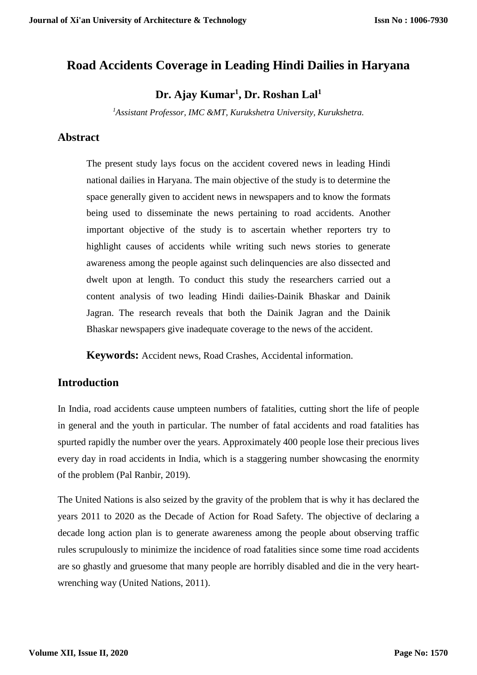# **Road Accidents Coverage in Leading Hindi Dailies in Haryana**

**Dr. Ajay Kumar<sup>1</sup> , Dr. Roshan Lal<sup>1</sup>**

*<sup>1</sup>Assistant Professor, IMC &MT, Kurukshetra University, Kurukshetra.*

## **Abstract**

The present study lays focus on the accident covered news in leading Hindi national dailies in Haryana. The main objective of the study is to determine the space generally given to accident news in newspapers and to know the formats being used to disseminate the news pertaining to road accidents. Another important objective of the study is to ascertain whether reporters try to highlight causes of accidents while writing such news stories to generate awareness among the people against such delinquencies are also dissected and dwelt upon at length. To conduct this study the researchers carried out a content analysis of two leading Hindi dailies-Dainik Bhaskar and Dainik Jagran. The research reveals that both the Dainik Jagran and the Dainik Bhaskar newspapers give inadequate coverage to the news of the accident.

**Keywords:** Accident news, Road Crashes, Accidental information.

#### **Introduction**

In India, road accidents cause umpteen numbers of fatalities, cutting short the life of people in general and the youth in particular. The number of fatal accidents and road fatalities has spurted rapidly the number over the years. Approximately 400 people lose their precious lives every day in road accidents in India, which is a staggering number showcasing the enormity of the problem (Pal Ranbir, 2019).

The United Nations is also seized by the gravity of the problem that is why it has declared the years 2011 to 2020 as the Decade of Action for Road Safety. The objective of declaring a decade long action plan is to generate awareness among the people about observing traffic rules scrupulously to minimize the incidence of road fatalities since some time road accidents are so ghastly and gruesome that many people are horribly disabled and die in the very heartwrenching way (United Nations, 2011).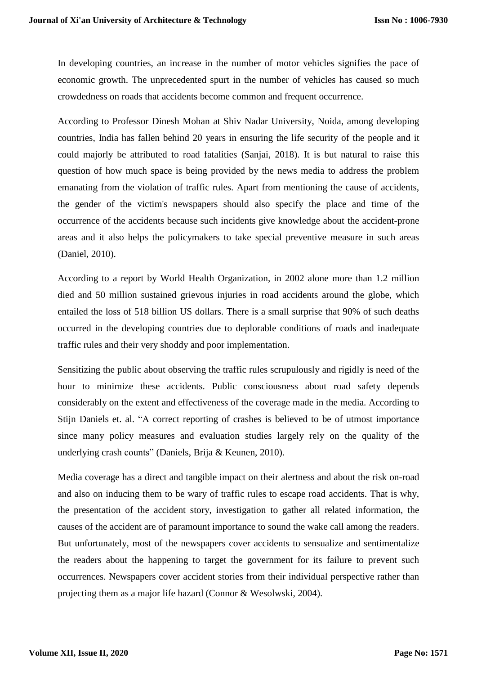In developing countries, an increase in the number of motor vehicles signifies the pace of economic growth. The unprecedented spurt in the number of vehicles has caused so much crowdedness on roads that accidents become common and frequent occurrence.

According to Professor Dinesh Mohan at Shiv Nadar University, Noida, among developing countries, India has fallen behind 20 years in ensuring the life security of the people and it could majorly be attributed to road fatalities (Sanjai, 2018). It is but natural to raise this question of how much space is being provided by the news media to address the problem emanating from the violation of traffic rules. Apart from mentioning the cause of accidents, the gender of the victim's newspapers should also specify the place and time of the occurrence of the accidents because such incidents give knowledge about the accident-prone areas and it also helps the policymakers to take special preventive measure in such areas (Daniel, 2010).

According to a report by World Health Organization, in 2002 alone more than 1.2 million died and 50 million sustained grievous injuries in road accidents around the globe, which entailed the loss of 518 billion US dollars. There is a small surprise that 90% of such deaths occurred in the developing countries due to deplorable conditions of roads and inadequate traffic rules and their very shoddy and poor implementation.

Sensitizing the public about observing the traffic rules scrupulously and rigidly is need of the hour to minimize these accidents. Public consciousness about road safety depends considerably on the extent and effectiveness of the coverage made in the media. According to Stijn Daniels et. al. "A correct reporting of crashes is believed to be of utmost importance since many policy measures and evaluation studies largely rely on the quality of the underlying crash counts" (Daniels, Brija & Keunen, 2010).

Media coverage has a direct and tangible impact on their alertness and about the risk on-road and also on inducing them to be wary of traffic rules to escape road accidents. That is why, the presentation of the accident story, investigation to gather all related information, the causes of the accident are of paramount importance to sound the wake call among the readers. But unfortunately, most of the newspapers cover accidents to sensualize and sentimentalize the readers about the happening to target the government for its failure to prevent such occurrences. Newspapers cover accident stories from their individual perspective rather than projecting them as a major life hazard (Connor & Wesolwski, 2004).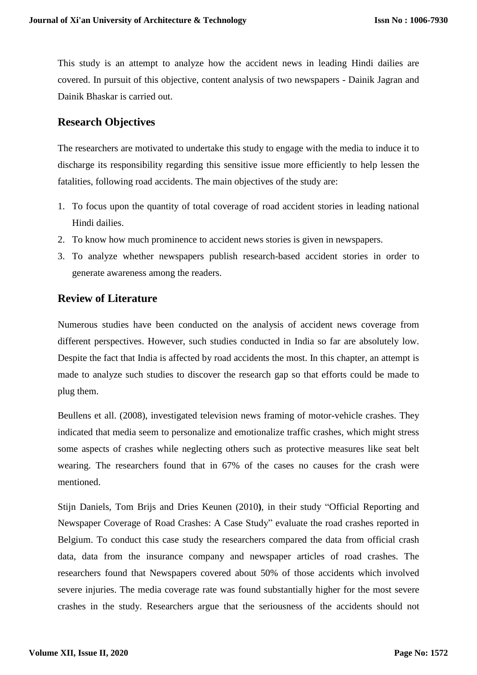This study is an attempt to analyze how the accident news in leading Hindi dailies are covered. In pursuit of this objective, content analysis of two newspapers - Dainik Jagran and Dainik Bhaskar is carried out.

### **Research Objectives**

The researchers are motivated to undertake this study to engage with the media to induce it to discharge its responsibility regarding this sensitive issue more efficiently to help lessen the fatalities, following road accidents. The main objectives of the study are:

- 1. To focus upon the quantity of total coverage of road accident stories in leading national Hindi dailies.
- 2. To know how much prominence to accident news stories is given in newspapers.
- 3. To analyze whether newspapers publish research-based accident stories in order to generate awareness among the readers.

#### **Review of Literature**

Numerous studies have been conducted on the analysis of accident news coverage from different perspectives. However, such studies conducted in India so far are absolutely low. Despite the fact that India is affected by road accidents the most. In this chapter, an attempt is made to analyze such studies to discover the research gap so that efforts could be made to plug them.

Beullens et all. (2008), investigated television news framing of motor-vehicle crashes. They indicated that media seem to personalize and emotionalize traffic crashes, which might stress some aspects of crashes while neglecting others such as protective measures like seat belt wearing. The researchers found that in 67% of the cases no causes for the crash were mentioned.

Stijn Daniels, Tom Brijs and Dries Keunen (2010**)**, in their study "Official Reporting and Newspaper Coverage of Road Crashes: A Case Study" evaluate the road crashes reported in Belgium. To conduct this case study the researchers compared the data from official crash data, data from the insurance company and newspaper articles of road crashes. The researchers found that Newspapers covered about 50% of those accidents which involved severe injuries. The media coverage rate was found substantially higher for the most severe crashes in the study. Researchers argue that the seriousness of the accidents should not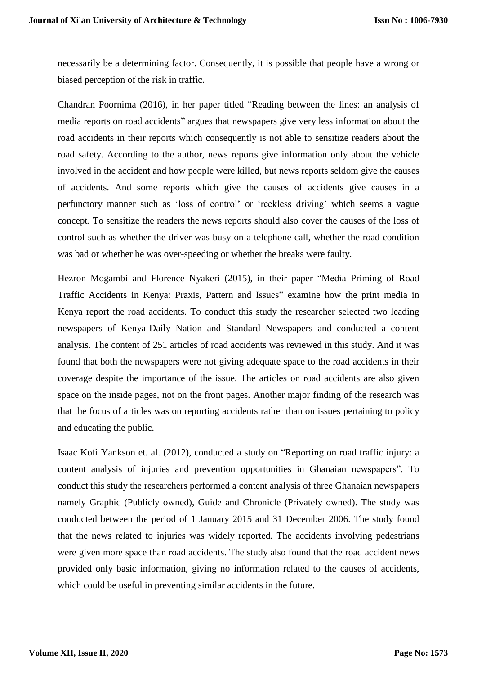necessarily be a determining factor. Consequently, it is possible that people have a wrong or biased perception of the risk in traffic.

Chandran Poornima (2016), in her paper titled ["Reading](https://www.cag.org.in/blogs/reading-between-lines-analysis-media-reports-road-accidents) between the lines: an analysis of media reports on road [accidents"](https://www.cag.org.in/blogs/reading-between-lines-analysis-media-reports-road-accidents) argues that newspapers give very less information about the road accidents in their reports which consequently is not able to sensitize readers about the road safety. According to the author, news reports give information only about the vehicle involved in the accident and how people were killed, but news reports seldom give the causes of accidents. And some reports which give the causes of accidents give causes in a perfunctory manner such as 'loss of control' or 'reckless driving' which seems a vague concept. To sensitize the readers the news reports should also cover the causes of the loss of control such as whether the driver was busy on a telephone call, whether the road condition was bad or whether he was over-speeding or whether the breaks were faulty.

Hezron Mogambi and Florence Nyakeri (2015), in their paper "Media Priming of Road Traffic Accidents in Kenya: Praxis, Pattern and Issues" examine how the print media in Kenya report the road accidents. To conduct this study the researcher selected two leading newspapers of Kenya-Daily Nation and Standard Newspapers and conducted a content analysis. The content of 251 articles of road accidents was reviewed in this study. And it was found that both the newspapers were not giving adequate space to the road accidents in their coverage despite the importance of the issue. The articles on road accidents are also given space on the inside pages, not on the front pages. Another major finding of the research was that the focus of articles was on reporting accidents rather than on issues pertaining to policy and educating the public.

Isaac Kofi Yankson et. al. (2012), conducted a study on "Reporting on road traffic injury: a content analysis of injuries and prevention opportunities in Ghanaian newspapers". To conduct this study the researchers performed a content analysis of three Ghanaian newspapers namely Graphic (Publicly owned), Guide and Chronicle (Privately owned). The study was conducted between the period of 1 January 2015 and 31 December 2006. The study found that the news related to injuries was widely reported. The accidents involving pedestrians were given more space than road accidents. The study also found that the road accident news provided only basic information, giving no information related to the causes of accidents, which could be useful in preventing similar accidents in the future.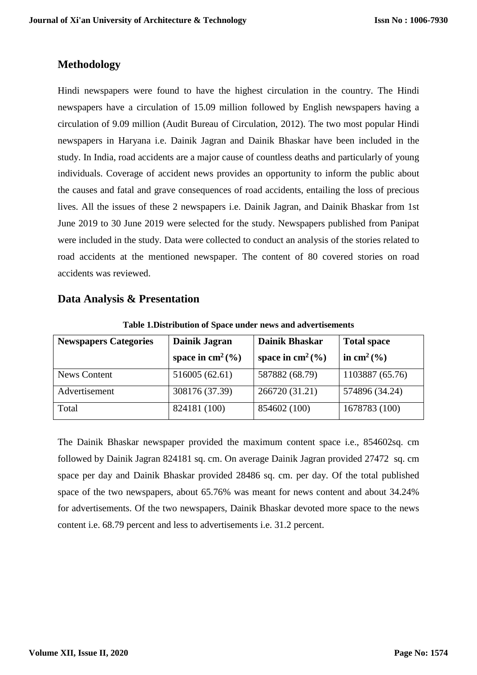## **Methodology**

Hindi newspapers were found to have the highest circulation in the country. The Hindi newspapers have a circulation of 15.09 million followed by English newspapers having a circulation of 9.09 million (Audit Bureau of Circulation, 2012). The two most popular Hindi newspapers in Haryana i.e. Dainik Jagran and Dainik Bhaskar have been included in the study. In India, road accidents are a major cause of countless deaths and particularly of young individuals. Coverage of accident news provides an opportunity to inform the public about the causes and fatal and grave consequences of road accidents, entailing the loss of precious lives. All the issues of these 2 newspapers i.e. Dainik Jagran, and Dainik Bhaskar from 1st June 2019 to 30 June 2019 were selected for the study. Newspapers published from Panipat were included in the study. Data were collected to conduct an analysis of the stories related to road accidents at the mentioned newspaper. The content of 80 covered stories on road accidents was reviewed.

#### **Data Analysis & Presentation**

| <b>Newspapers Categories</b> | Dainik Jagran               | <b>Dainik Bhaskar</b> | <b>Total space</b>         |
|------------------------------|-----------------------------|-----------------------|----------------------------|
|                              | space in $\text{cm}^2(\% )$ | space in $cm2(\%)$    | in cm <sup>2</sup> $(\% )$ |
| <b>News Content</b>          | 516005 (62.61)              | 587882 (68.79)        | 1103887 (65.76)            |
| Advertisement                | 308176 (37.39)              | 266720 (31.21)        | 574896 (34.24)             |
| Total                        | 824181 (100)                | 854602 (100)          | 1678783 (100)              |

**Table 1.Distribution of Space under news and advertisements**

The Dainik Bhaskar newspaper provided the maximum content space i.e., 854602sq. cm followed by Dainik Jagran 824181 sq. cm. On average Dainik Jagran provided 27472 sq. cm space per day and Dainik Bhaskar provided 28486 sq. cm. per day. Of the total published space of the two newspapers, about 65.76% was meant for news content and about 34.24% for advertisements. Of the two newspapers, Dainik Bhaskar devoted more space to the news content i.e. 68.79 percent and less to advertisements i.e. 31.2 percent.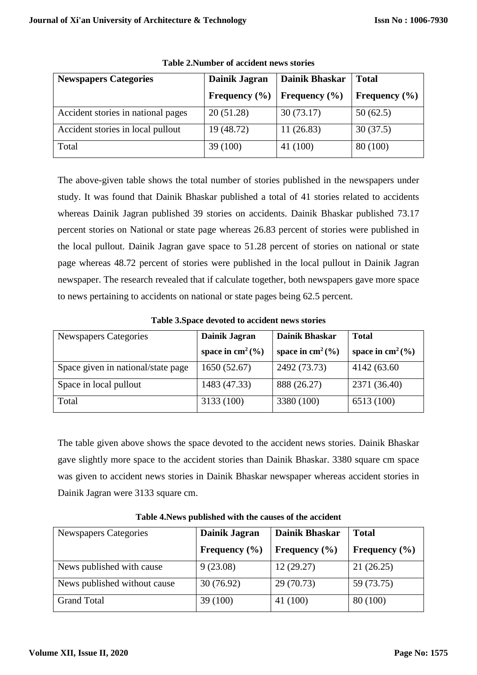| <b>Newspapers Categories</b>       | Dainik Jagran     | <b>Dainik Bhaskar</b> | <b>Total</b>      |
|------------------------------------|-------------------|-----------------------|-------------------|
|                                    | Frequency $(\% )$ | Frequency $(\% )$     | Frequency $(\% )$ |
| Accident stories in national pages | 20(51.28)         | 30(73.17)             | 50(62.5)          |
| Accident stories in local pullout  | 19 (48.72)        | 11(26.83)             | 30(37.5)          |
| Total                              | 39 (100)          | 41 (100)              | 80 (100)          |

**Table 2.Number of accident news stories**

The above-given table shows the total number of stories published in the newspapers under study. It was found that Dainik Bhaskar published a total of 41 stories related to accidents whereas Dainik Jagran published 39 stories on accidents. Dainik Bhaskar published 73.17 percent stories on National or state page whereas 26.83 percent of stories were published in the local pullout. Dainik Jagran gave space to 51.28 percent of stories on national or state page whereas 48.72 percent of stories were published in the local pullout in Dainik Jagran newspaper. The research revealed that if calculate together, both newspapers gave more space to news pertaining to accidents on national or state pages being 62.5 percent.

| Newspapers Categories              | Dainik Jagran      | <b>Dainik Bhaskar</b> | <b>Total</b>       |
|------------------------------------|--------------------|-----------------------|--------------------|
|                                    | space in $cm2(\%)$ | space in $cm2(\%)$    | space in $cm2(\%)$ |
| Space given in national/state page | 1650(52.67)        | 2492 (73.73)          | 4142 (63.60)       |
| Space in local pullout             | 1483 (47.33)       | 888 (26.27)           | 2371 (36.40)       |
| Total                              | 3133 (100)         | 3380 (100)            | 6513 (100)         |

**Table 3.Space devoted to accident news stories**

The table given above shows the space devoted to the accident news stories. Dainik Bhaskar gave slightly more space to the accident stories than Dainik Bhaskar. 3380 square cm space was given to accident news stories in Dainik Bhaskar newspaper whereas accident stories in Dainik Jagran were 3133 square cm.

| <b>Newspapers Categories</b> | Dainik Jagran     | <b>Dainik Bhaskar</b> | <b>Total</b>      |
|------------------------------|-------------------|-----------------------|-------------------|
|                              | Frequency $(\% )$ | Frequency $(\% )$     | Frequency $(\% )$ |
| News published with cause    | 9(23.08)          | 12(29.27)             | 21(26.25)         |
| News published without cause | 30(76.92)         | 29(70.73)             | 59 (73.75)        |
| <b>Grand Total</b>           | 39(100)           | 41 (100)              | 80 (100)          |

**Table 4.News published with the causes of the accident**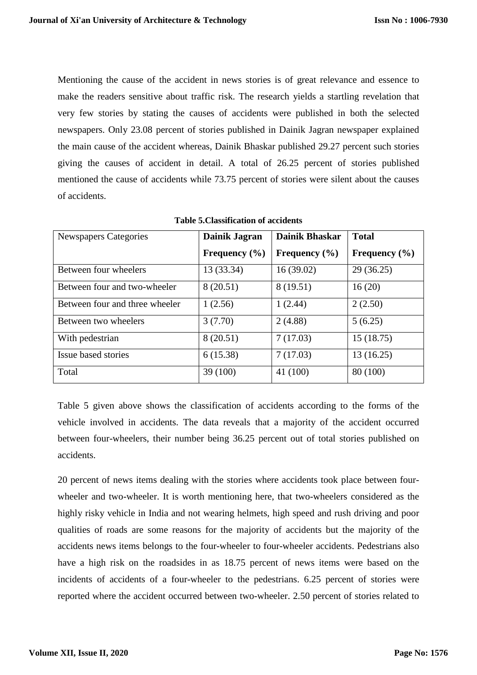Mentioning the cause of the accident in news stories is of great relevance and essence to make the readers sensitive about traffic risk. The research yields a startling revelation that very few stories by stating the causes of accidents were published in both the selected newspapers. Only 23.08 percent of stories published in Dainik Jagran newspaper explained the main cause of the accident whereas, Dainik Bhaskar published 29.27 percent such stories giving the causes of accident in detail. A total of 26.25 percent of stories published mentioned the cause of accidents while 73.75 percent of stories were silent about the causes of accidents.

| <b>Newspapers Categories</b>   | Dainik Jagran     | <b>Dainik Bhaskar</b> | <b>Total</b>      |
|--------------------------------|-------------------|-----------------------|-------------------|
|                                | Frequency $(\% )$ | Frequency $(\% )$     | Frequency $(\% )$ |
| Between four wheelers          | 13 (33.34)        | 16(39.02)             | 29(36.25)         |
| Between four and two-wheeler   | 8 (20.51)         | 8 (19.51)             | 16(20)            |
| Between four and three wheeler | 1(2.56)           | 1(2.44)               | 2(2.50)           |
| Between two wheelers           | 3(7.70)           | 2(4.88)               | 5(6.25)           |
| With pedestrian                | 8 (20.51)         | 7(17.03)              | 15(18.75)         |
| Issue based stories            | 6(15.38)          | 7(17.03)              | 13(16.25)         |
| Total                          | 39(100)           | 41 (100)              | 80 (100)          |

**Table 5.Classification of accidents**

Table 5 given above shows the classification of accidents according to the forms of the vehicle involved in accidents. The data reveals that a majority of the accident occurred between four-wheelers, their number being 36.25 percent out of total stories published on accidents.

20 percent of news items dealing with the stories where accidents took place between fourwheeler and two-wheeler. It is worth mentioning here, that two-wheelers considered as the highly risky vehicle in India and not wearing helmets, high speed and rush driving and poor qualities of roads are some reasons for the majority of accidents but the majority of the accidents news items belongs to the four-wheeler to four-wheeler accidents. Pedestrians also have a high risk on the roadsides in as 18.75 percent of news items were based on the incidents of accidents of a four-wheeler to the pedestrians. 6.25 percent of stories were reported where the accident occurred between two-wheeler. 2.50 percent of stories related to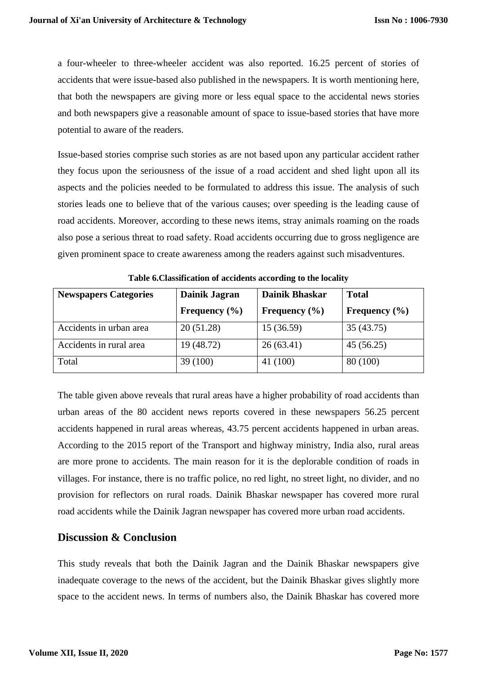a four-wheeler to three-wheeler accident was also reported. 16.25 percent of stories of accidents that were issue-based also published in the newspapers. It is worth mentioning here, that both the newspapers are giving more or less equal space to the accidental news stories and both newspapers give a reasonable amount of space to issue-based stories that have more potential to aware of the readers.

Issue-based stories comprise such stories as are not based upon any particular accident rather they focus upon the seriousness of the issue of a road accident and shed light upon all its aspects and the policies needed to be formulated to address this issue. The analysis of such stories leads one to believe that of the various causes; over speeding is the leading cause of road accidents. Moreover, according to these news items, stray animals roaming on the roads also pose a serious threat to road safety. Road accidents occurring due to gross negligence are given prominent space to create awareness among the readers against such misadventures.

| <b>Newspapers Categories</b> | Dainik Jagran     | Dainik Bhaskar    | <b>Total</b>      |
|------------------------------|-------------------|-------------------|-------------------|
|                              | Frequency $(\% )$ | Frequency $(\% )$ | Frequency $(\% )$ |
| Accidents in urban area      | 20 (51.28)        | 15(36.59)         | 35(43.75)         |
| Accidents in rural area      | 19 (48.72)        | 26(63.41)         | 45(56.25)         |
| Total                        | 39(100)           | 41 (100)          | 80 (100)          |

**Table 6.Classification of accidents according to the locality**

The table given above reveals that rural areas have a higher probability of road accidents than urban areas of the 80 accident news reports covered in these newspapers 56.25 percent accidents happened in rural areas whereas, 43.75 percent accidents happened in urban areas. According to the 2015 report of the Transport and highway ministry, India also, rural areas are more prone to accidents. The main reason for it is the deplorable condition of roads in villages. For instance, there is no traffic police, no red light, no street light, no divider, and no provision for reflectors on rural roads. Dainik Bhaskar newspaper has covered more rural road accidents while the Dainik Jagran newspaper has covered more urban road accidents.

#### **Discussion & Conclusion**

This study reveals that both the Dainik Jagran and the Dainik Bhaskar newspapers give inadequate coverage to the news of the accident, but the Dainik Bhaskar gives slightly more space to the accident news. In terms of numbers also, the Dainik Bhaskar has covered more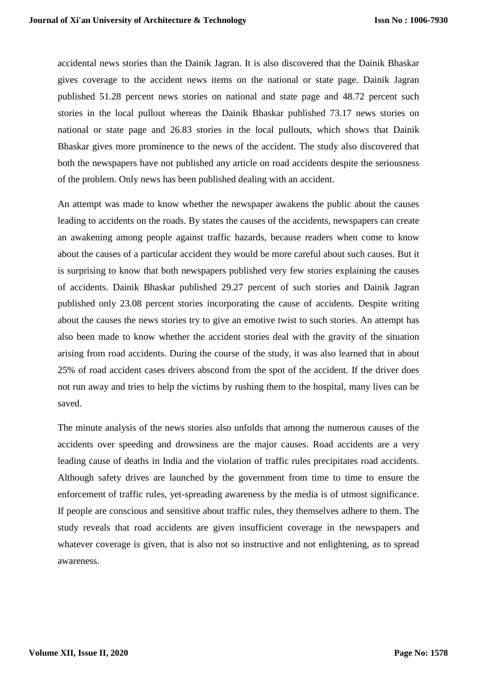accidental news stories than the Dainik Jagran. It is also discovered that the Dainik Bhaskar gives coverage to the accident news items on the national or state page. Dainik Jagran published 51.28 percent news stories on national and state page and 48.72 percent such stories in the local pullout whereas the Dainik Bhaskar published 73.17 news stories on national or state page and 26.83 stories in the local pullouts, which shows that Dainik Bhaskar gives more prominence to the news of the accident. The study also discovered that both the newspapers have not published any article on road accidents despite the seriousness of the problem. Only news has been published dealing with an accident.

An attempt was made to know whether the newspaper awakens the public about the causes leading to accidents on the roads. By states the causes of the accidents, newspapers can create an awakening among people against traffic hazards, because readers when come to know about the causes of a particular accident they would be more careful about such causes. But it is surprising to know that both newspapers published very few stories explaining the causes of accidents. Dainik Bhaskar published 29.27 percent of such stories and Dainik Jagran published only 23.08 percent stories incorporating the cause of accidents. Despite writing about the causes the news stories try to give an emotive twist to such stories. An attempt has also been made to know whether the accident stories deal with the gravity of the situation arising from road accidents. During the course of the study, it was also learned that in about 25% of road accident cases drivers abscond from the spot of the accident. If the driver does not run away and tries to help the victims by rushing them to the hospital, many lives can be saved.

The minute analysis of the news stories also unfolds that among the numerous causes of the accidents over speeding and drowsiness are the major causes. Road accidents are a very leading cause of deaths in India and the violation of traffic rules precipitates road accidents. Although safety drives are launched by the government from time to time to ensure the enforcement of traffic rules, yet-spreading awareness by the media is of utmost significance. If people are conscious and sensitive about traffic rules, they themselves adhere to them. The study reveals that road accidents are given insufficient coverage in the newspapers and whatever coverage is given, that is also not so instructive and not enlightening, as to spread awareness.